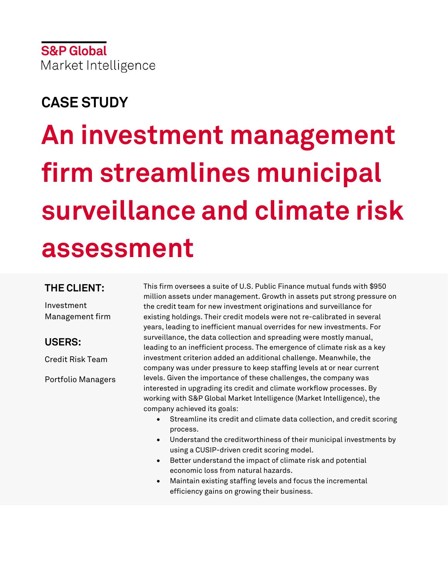## **CASE STUDY**

# **An investment management firm streamlines municipal surveillance and climate risk assessment**

#### **THE CLIENT:**

Investment Management firm

## **USERS:**

Credit Risk Team

Portfolio Managers

This firm oversees a suite of U.S. Public Finance mutual funds with \$950 million assets under management. Growth in assets put strong pressure on the credit team for new investment originations and surveillance for existing holdings. Their credit models were not re-calibrated in several years, leading to inefficient manual overrides for new investments. For surveillance, the data collection and spreading were mostly manual, leading to an inefficient process. The emergence of climate risk as a key investment criterion added an additional challenge. Meanwhile, the company was under pressure to keep staffing levels at or near current levels. Given the importance of these challenges, the company was interested in upgrading its credit and climate workflow processes. By working with S&P Global Market Intelligence (Market Intelligence), the company achieved its goals:

- Streamline its credit and climate data collection, and credit scoring process.
- Understand the creditworthiness of their municipal investments by using a CUSIP-driven credit scoring model.
- Better understand the impact of climate risk and potential economic loss from natural hazards.
- Maintain existing staffing levels and focus the incremental efficiency gains on growing their business.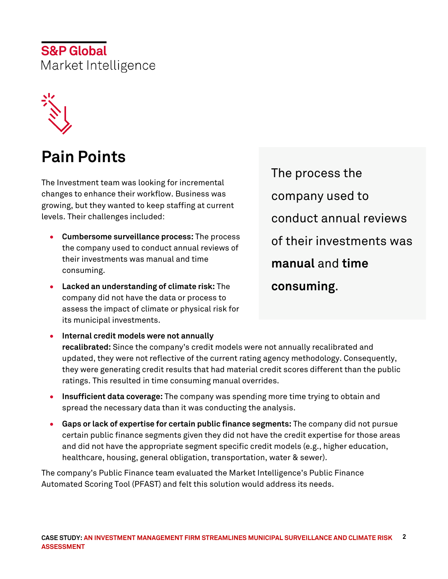

# **Pain Points**

The Investment team was looking for incremental changes to enhance their workflow. Business was growing, but they wanted to keep staffing at current levels. Their challenges included:

- **Cumbersome surveillance process:** The process the company used to conduct annual reviews of their investments was manual and time consuming.
- **Lacked an understanding of climate risk:** The company did not have the data or process to assess the impact of climate or physical risk for its municipal investments.

The process the company used to conduct annual reviews of their investments was **manual** and **time consuming**.

- **Internal credit models were not annually recalibrated:** Since the company's credit models were not annually recalibrated and updated, they were not reflective of the current rating agency methodology. Consequently, they were generating credit results that had material credit scores different than the public ratings. This resulted in time consuming manual overrides.
- **Insufficient data coverage:** The company was spending more time trying to obtain and spread the necessary data than it was conducting the analysis.
- **Gaps or lack of expertise for certain public finance segments:** The company did not pursue certain public finance segments given they did not have the credit expertise for those areas and did not have the appropriate segment specific credit models (e.g., higher education, healthcare, housing, general obligation, transportation, water & sewer).

The company's Public Finance team evaluated the Market Intelligence's Public Finance Automated Scoring Tool (PFAST) and felt this solution would address its needs.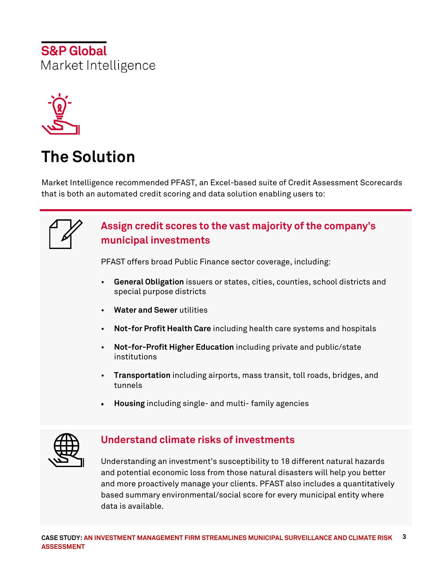

# **The Solution**

Market Intelligence recommended PFAST, an Excel-based suite of Credit Assessment Scorecards that is both an automated credit scoring and data solution enabling users to:

## **Assign credit scores to the vast majority of the company's municipal investments**

PFAST offers broad Public Finance sector coverage, including:

- **General Obligation** issuers or states, cities, counties, school districts and special purpose districts
- **Water and Sewer** utilities
- **Not-for Profit Health Care** including health care systems and hospitals
- **Not-for-Profit Higher Education** including private and public/state institutions
- **Transportation** including airports, mass transit, toll roads, bridges, and tunnels
- **Housing** including single- and multi- family agencies



## **Understand climate risks of investments**

Understanding an investment's susceptibility to 18 different natural hazards and potential economic loss from those natural disasters will help you better and more proactively manage your clients. PFAST also includes a quantitatively based summary environmental/social score for every municipal entity where data is available.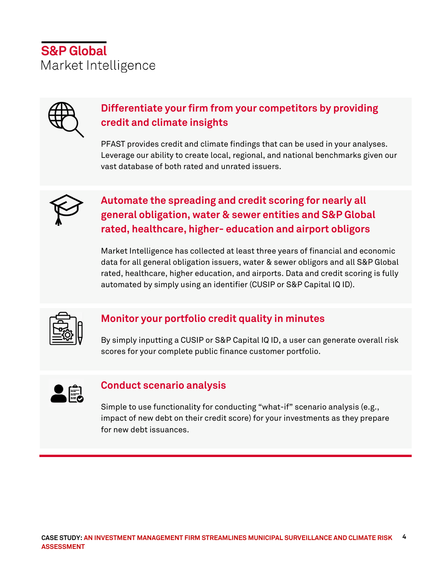

## **Differentiate your firm from your competitors by providing credit and climate insights**

PFAST provides credit and climate findings that can be used in your analyses. Leverage our ability to create local, regional, and national benchmarks given our vast database of both rated and unrated issuers.



## **Automate the spreading and credit scoring for nearly all general obligation, water & sewer entities and S&P Global rated, healthcare, higher- education and airport obligors**

Market Intelligence has collected at least three years of financial and economic data for all general obligation issuers, water & sewer obligors and all S&P Global rated, healthcare, higher education, and airports. Data and credit scoring is fully automated by simply using an identifier (CUSIP or S&P Capital IQ ID).



## **Monitor your portfolio credit quality in minutes**

By simply inputting a CUSIP or S&P Capital IQ ID, a user can generate overall risk scores for your complete public finance customer portfolio.



#### **Conduct scenario analysis**

Simple to use functionality for conducting "what-if" scenario analysis (e.g., impact of new debt on their credit score) for your investments as they prepare for new debt issuances.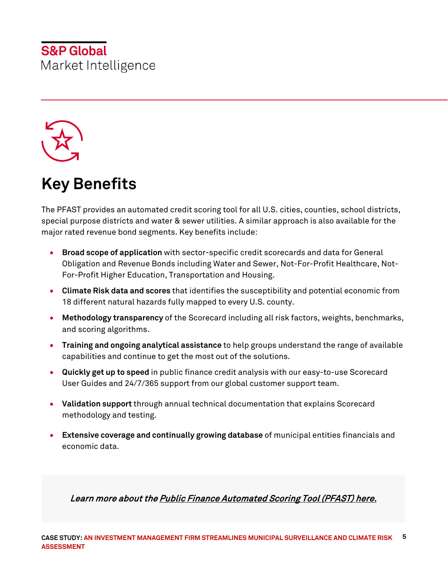

# **Key Benefits**

The PFAST provides an automated credit scoring tool for all U.S. cities, counties, school districts, special purpose districts and water & sewer utilities. A similar approach is also available for the major rated revenue bond segments. Key benefits include:

- **Broad scope of application** with sector-specific credit scorecards and data for General Obligation and Revenue Bonds including Water and Sewer, Not-For-Profit Healthcare, Not-For-Profit Higher Education, Transportation and Housing.
- **Climate Risk data and scores** that identifies the susceptibility and potential economic from 18 different natural hazards fully mapped to every U.S. county.
- **Methodology transparency** of the Scorecard including all risk factors, weights, benchmarks, and scoring algorithms.
- **Training and ongoing analytical assistance** to help groups understand the range of available capabilities and continue to get the most out of the solutions.
- **Quickly get up to speed** in public finance credit analysis with our easy-to-use Scorecard User Guides and 24/7/365 support from our global customer support team.
- **Validation support** through annual technical documentation that explains Scorecard methodology and testing.
- **Extensive coverage and continually growing database** of municipal entities financials and economic data.

Learn more about th[e Public Finance Automated Scoring Tool \(PFAST\)](https://www.spglobal.com/marketintelligence/en/campaigns/publicfinance) here.